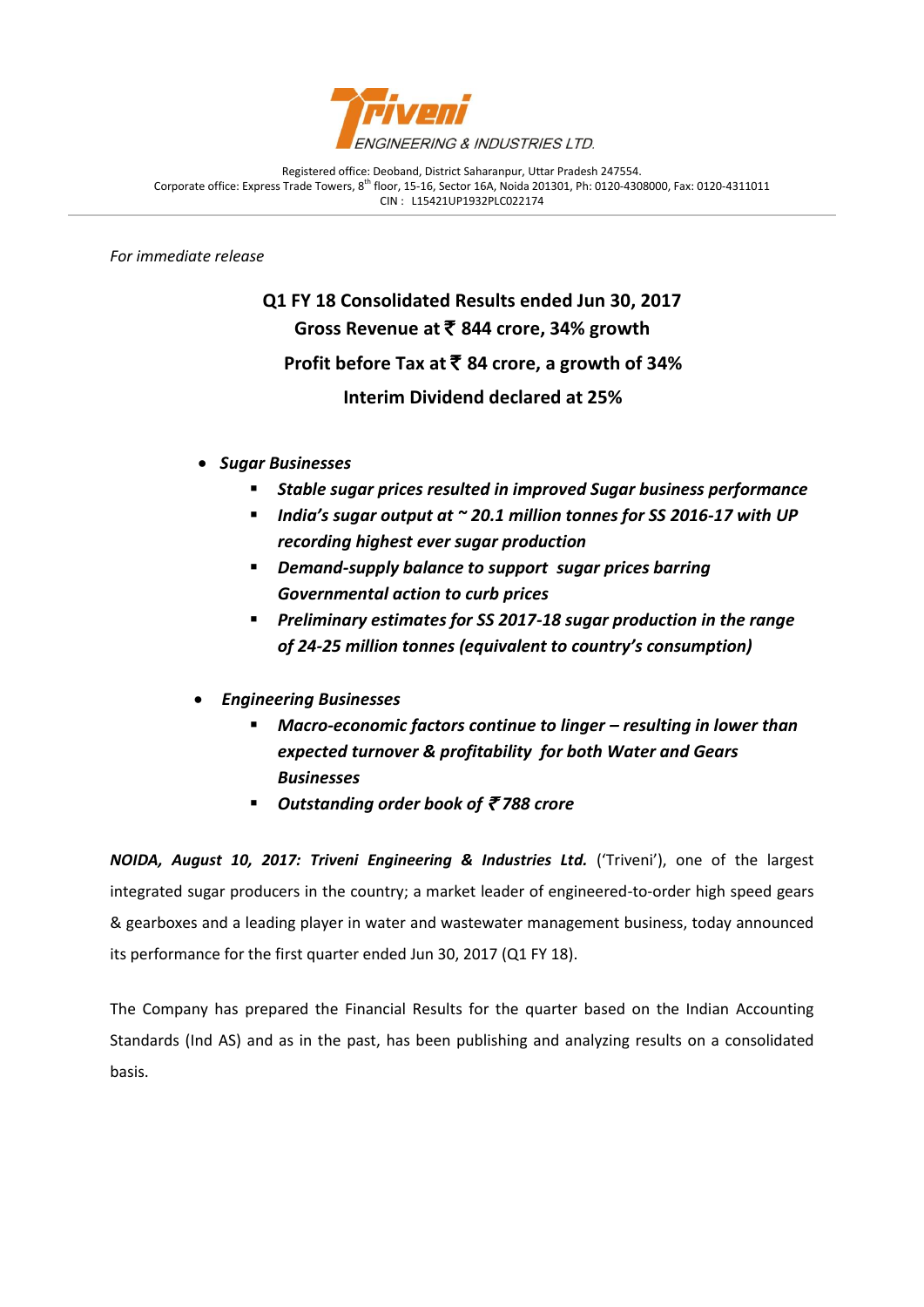

Registered office: Deoband, District Saharanpur, Uttar Pradesh 247554. Corporate office: Express Trade Towers, 8<sup>th</sup> floor, 15-16, Sector 16A, Noida 201301, Ph: 0120-4308000, Fax: 0120-4311011 CIN : L15421UP1932PLC022174

*For immediate release*

j

**Q1 FY 18 Consolidated Results ended Jun 30, 2017 Gross Revenue at** ` **844 crore, 34% growth Profit before Tax at** ` **84 crore, a growth of 34% Interim Dividend declared at 25%**

- *Sugar Businesses*
	- *Stable sugar prices resulted in improved Sugar business performance*
	- *India's sugar output at ~ 20.1 million tonnes for SS 2016-17 with UP recording highest ever sugar production*
	- *Demand-supply balance to support sugar prices barring Governmental action to curb prices*
	- *Preliminary estimates for SS 2017-18 sugar production in the range of 24-25 million tonnes (equivalent to country's consumption)*
- *Engineering Businesses*
	- Macro-economic factors continue to linger resulting in lower than *expected turnover & profitability for both Water and Gears Businesses*
	- *Outstanding order book of* ` *788 crore*

*NOIDA, August 10, 2017: Triveni Engineering & Industries Ltd.* ('Triveni'), one of the largest integrated sugar producers in the country; a market leader of engineered-to-order high speed gears & gearboxes and a leading player in water and wastewater management business, today announced its performance for the first quarter ended Jun 30, 2017 (Q1 FY 18).

The Company has prepared the Financial Results for the quarter based on the Indian Accounting Standards (Ind AS) and as in the past, has been publishing and analyzing results on a consolidated basis.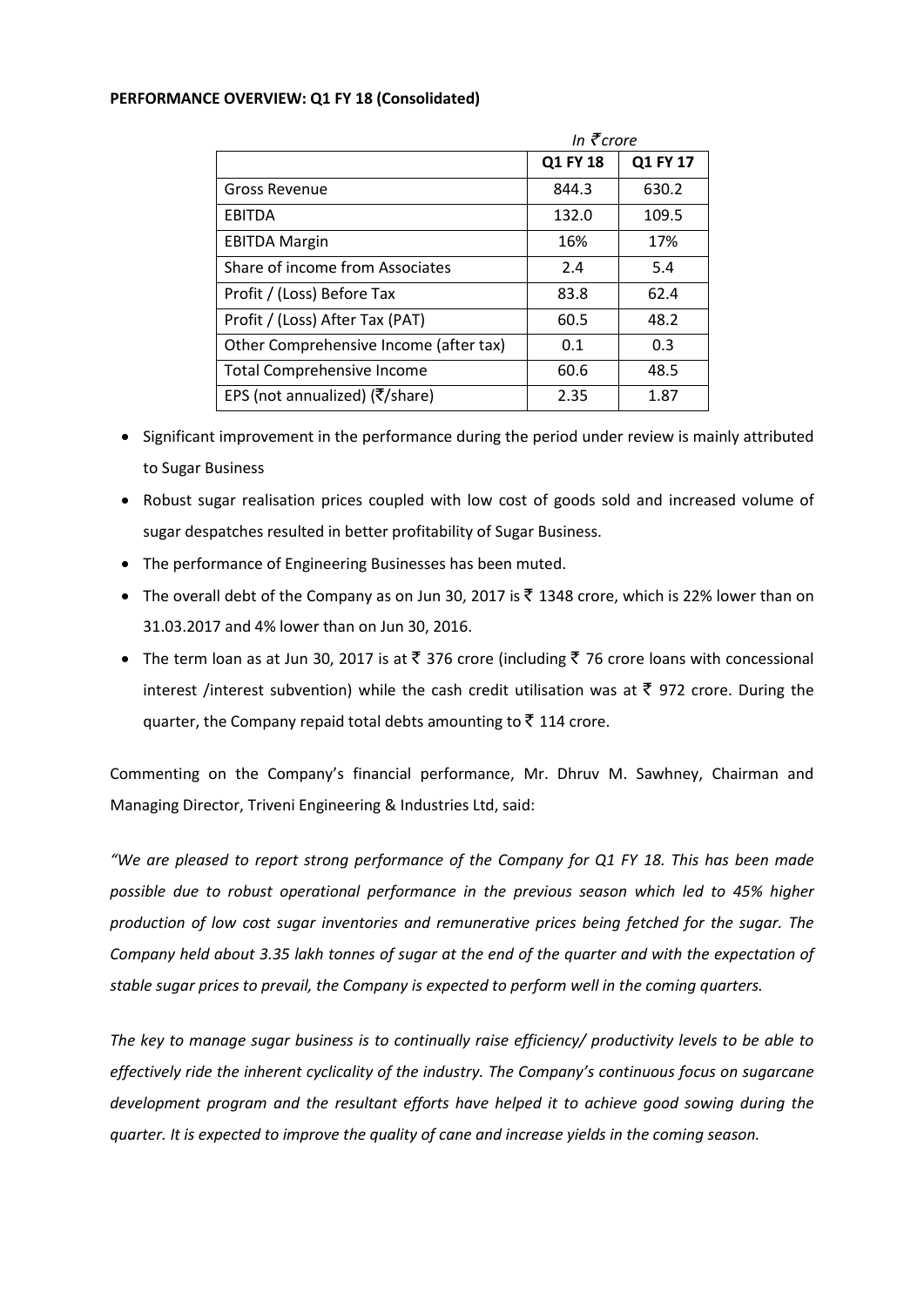## **PERFORMANCE OVERVIEW: Q1 FY 18 (Consolidated)**

|                                                        | In $\bar{\tau}$ crore |          |
|--------------------------------------------------------|-----------------------|----------|
|                                                        | Q1 FY 18              | Q1 FY 17 |
| <b>Gross Revenue</b>                                   | 844.3                 | 630.2    |
| <b>EBITDA</b>                                          | 132.0                 | 109.5    |
| <b>EBITDA Margin</b>                                   | 16%                   | 17%      |
| Share of income from Associates                        | 2.4                   | 5.4      |
| Profit / (Loss) Before Tax                             | 83.8                  | 62.4     |
| Profit / (Loss) After Tax (PAT)                        | 60.5                  | 48.2     |
| Other Comprehensive Income (after tax)                 | 0.1                   | 0.3      |
| <b>Total Comprehensive Income</b>                      | 60.6                  | 48.5     |
| EPS (not annualized) ( $\overline{\xi}/\text{share}$ ) | 2.35                  | 1.87     |

- Significant improvement in the performance during the period under review is mainly attributed to Sugar Business
- Robust sugar realisation prices coupled with low cost of goods sold and increased volume of sugar despatches resulted in better profitability of Sugar Business.
- The performance of Engineering Businesses has been muted.
- The overall debt of the Company as on Jun 30, 2017 is  $\bar{\tau}$  1348 crore, which is 22% lower than on 31.03.2017 and 4% lower than on Jun 30, 2016.
- The term loan as at Jun 30, 2017 is at  $\bar{\tau}$  376 crore (including  $\bar{\tau}$  76 crore loans with concessional interest /interest subvention) while the cash credit utilisation was at  $\bar{\tau}$  972 crore. During the quarter, the Company repaid total debts amounting to  $\bar{z}$  114 crore.

Commenting on the Company's financial performance, Mr. Dhruv M. Sawhney, Chairman and Managing Director, Triveni Engineering & Industries Ltd, said:

*"We are pleased to report strong performance of the Company for Q1 FY 18. This has been made possible due to robust operational performance in the previous season which led to 45% higher production of low cost sugar inventories and remunerative prices being fetched for the sugar. The Company held about 3.35 lakh tonnes of sugar at the end of the quarter and with the expectation of stable sugar prices to prevail, the Company is expected to perform well in the coming quarters.* 

*The key to manage sugar business is to continually raise efficiency/ productivity levels to be able to effectively ride the inherent cyclicality of the industry. The Company's continuous focus on sugarcane development program and the resultant efforts have helped it to achieve good sowing during the quarter. It is expected to improve the quality of cane and increase yields in the coming season.*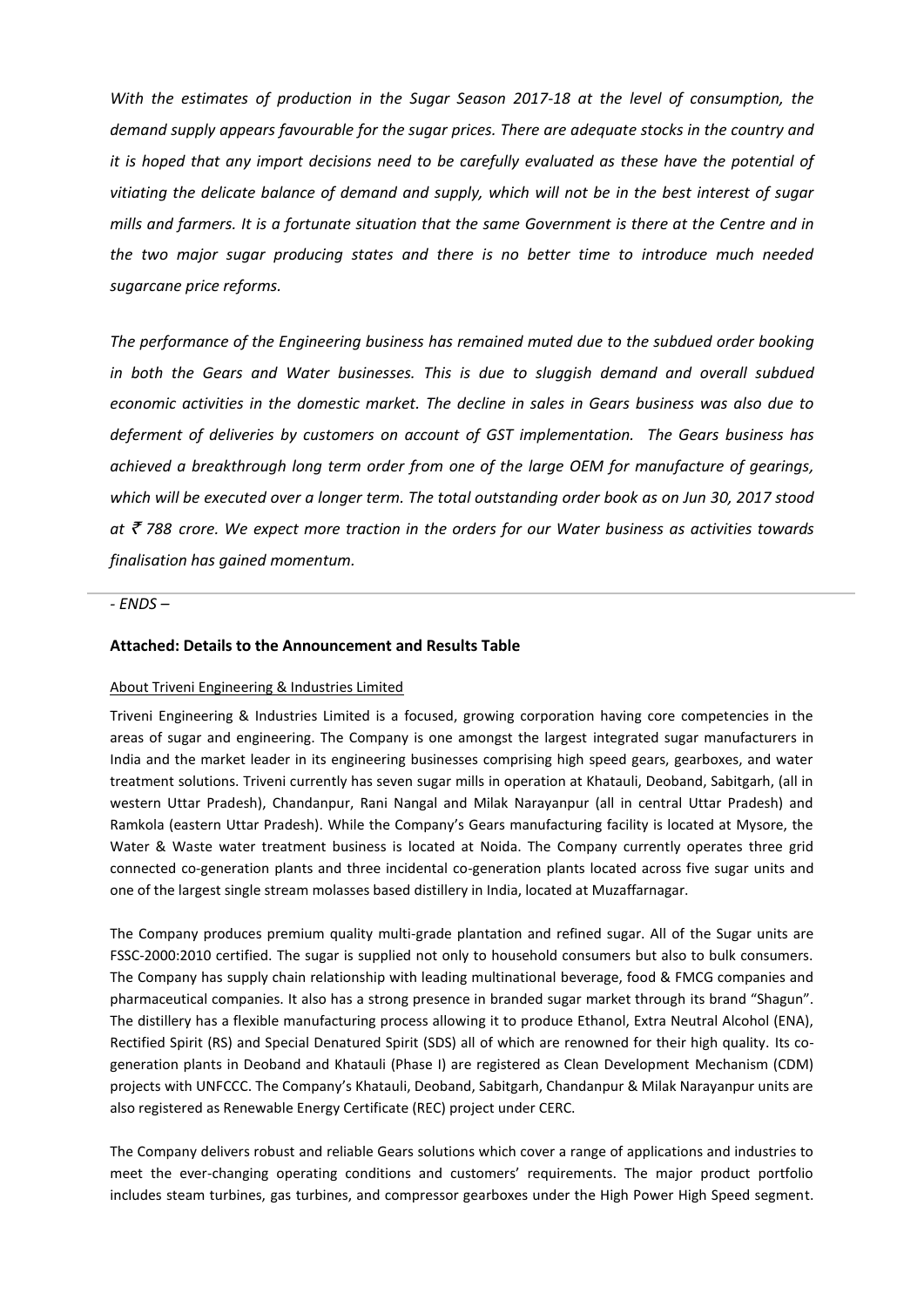*With the estimates of production in the Sugar Season 2017-18 at the level of consumption, the demand supply appears favourable for the sugar prices. There are adequate stocks in the country and it is hoped that any import decisions need to be carefully evaluated as these have the potential of vitiating the delicate balance of demand and supply, which will not be in the best interest of sugar mills and farmers. It is a fortunate situation that the same Government is there at the Centre and in the two major sugar producing states and there is no better time to introduce much needed sugarcane price reforms.* 

*The performance of the Engineering business has remained muted due to the subdued order booking in both the Gears and Water businesses. This is due to sluggish demand and overall subdued economic activities in the domestic market. The decline in sales in Gears business was also due to deferment of deliveries by customers on account of GST implementation. The Gears business has achieved a breakthrough long term order from one of the large OEM for manufacture of gearings, which will be executed over a longer term. The total outstanding order book as on Jun 30, 2017 stood at* ` *788 crore. We expect more traction in the orders for our Water business as activities towards finalisation has gained momentum.* 

## *- ENDS –*

## **Attached: Details to the Announcement and Results Table**

## About Triveni Engineering & Industries Limited

Triveni Engineering & Industries Limited is a focused, growing corporation having core competencies in the areas of sugar and engineering. The Company is one amongst the largest integrated sugar manufacturers in India and the market leader in its engineering businesses comprising high speed gears, gearboxes, and water treatment solutions. Triveni currently has seven sugar mills in operation at Khatauli, Deoband, Sabitgarh, (all in western Uttar Pradesh), Chandanpur, Rani Nangal and Milak Narayanpur (all in central Uttar Pradesh) and Ramkola (eastern Uttar Pradesh). While the Company's Gears manufacturing facility is located at Mysore, the Water & Waste water treatment business is located at Noida. The Company currently operates three grid connected co-generation plants and three incidental co-generation plants located across five sugar units and one of the largest single stream molasses based distillery in India, located at Muzaffarnagar.

The Company produces premium quality multi-grade plantation and refined sugar. All of the Sugar units are FSSC-2000:2010 certified. The sugar is supplied not only to household consumers but also to bulk consumers. The Company has supply chain relationship with leading multinational beverage, food & FMCG companies and pharmaceutical companies. It also has a strong presence in branded sugar market through its brand "Shagun". The distillery has a flexible manufacturing process allowing it to produce Ethanol, Extra Neutral Alcohol (ENA), Rectified Spirit (RS) and Special Denatured Spirit (SDS) all of which are renowned for their high quality. Its cogeneration plants in Deoband and Khatauli (Phase I) are registered as Clean Development Mechanism (CDM) projects with UNFCCC. The Company's Khatauli, Deoband, Sabitgarh, Chandanpur & Milak Narayanpur units are also registered as Renewable Energy Certificate (REC) project under CERC.

The Company delivers robust and reliable Gears solutions which cover a range of applications and industries to meet the ever-changing operating conditions and customers' requirements. The major product portfolio includes steam turbines, gas turbines, and compressor gearboxes under the High Power High Speed segment.